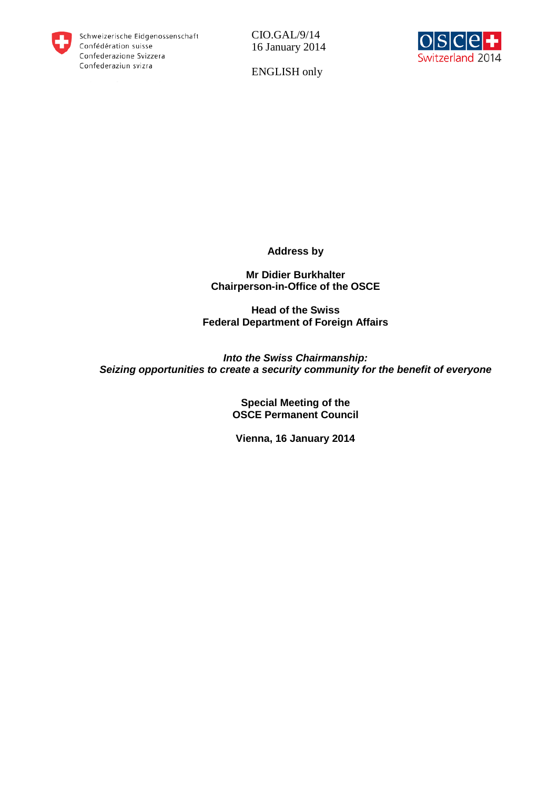

CIO.GAL/9/14 16 January 2014



ENGLISH only

**Address by** 

**Mr Didier Burkhalter Chairperson-in-Office of the OSCE**

**Head of the Swiss Federal Department of Foreign Affairs**

*Into the Swiss Chairmanship: Seizing opportunities to create a security community for the benefit of everyone*

> **Special Meeting of the OSCE Permanent Council**

**Vienna, 16 January 2014**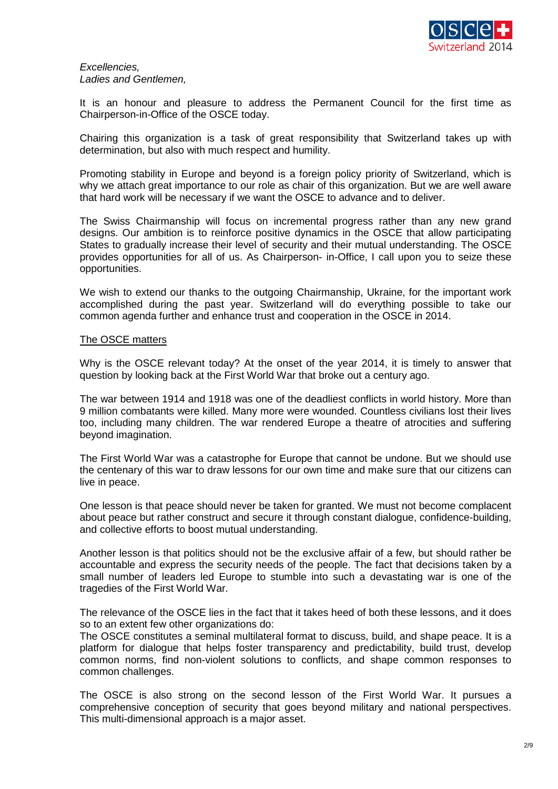

## *Excellencies, Ladies and Gentlemen,*

It is an honour and pleasure to address the Permanent Council for the first time as Chairperson-in-Office of the OSCE today.

Chairing this organization is a task of great responsibility that Switzerland takes up with determination, but also with much respect and humility.

Promoting stability in Europe and beyond is a foreign policy priority of Switzerland, which is why we attach great importance to our role as chair of this organization. But we are well aware that hard work will be necessary if we want the OSCE to advance and to deliver.

The Swiss Chairmanship will focus on incremental progress rather than any new grand designs. Our ambition is to reinforce positive dynamics in the OSCE that allow participating States to gradually increase their level of security and their mutual understanding. The OSCE provides opportunities for all of us. As Chairperson- in-Office, I call upon you to seize these opportunities.

We wish to extend our thanks to the outgoing Chairmanship, Ukraine, for the important work accomplished during the past year. Switzerland will do everything possible to take our common agenda further and enhance trust and cooperation in the OSCE in 2014.

### The OSCE matters

Why is the OSCE relevant today? At the onset of the year 2014, it is timely to answer that question by looking back at the First World War that broke out a century ago.

The war between 1914 and 1918 was one of the deadliest conflicts in world history. More than 9 million combatants were killed. Many more were wounded. Countless civilians lost their lives too, including many children. The war rendered Europe a theatre of atrocities and suffering beyond imagination.

The First World War was a catastrophe for Europe that cannot be undone. But we should use the centenary of this war to draw lessons for our own time and make sure that our citizens can live in peace.

One lesson is that peace should never be taken for granted. We must not become complacent about peace but rather construct and secure it through constant dialogue, confidence-building, and collective efforts to boost mutual understanding.

Another lesson is that politics should not be the exclusive affair of a few, but should rather be accountable and express the security needs of the people. The fact that decisions taken by a small number of leaders led Europe to stumble into such a devastating war is one of the tragedies of the First World War.

The relevance of the OSCE lies in the fact that it takes heed of both these lessons, and it does so to an extent few other organizations do:

The OSCE constitutes a seminal multilateral format to discuss, build, and shape peace. It is a platform for dialogue that helps foster transparency and predictability, build trust, develop common norms, find non-violent solutions to conflicts, and shape common responses to common challenges.

The OSCE is also strong on the second lesson of the First World War. It pursues a comprehensive conception of security that goes beyond military and national perspectives. This multi-dimensional approach is a major asset.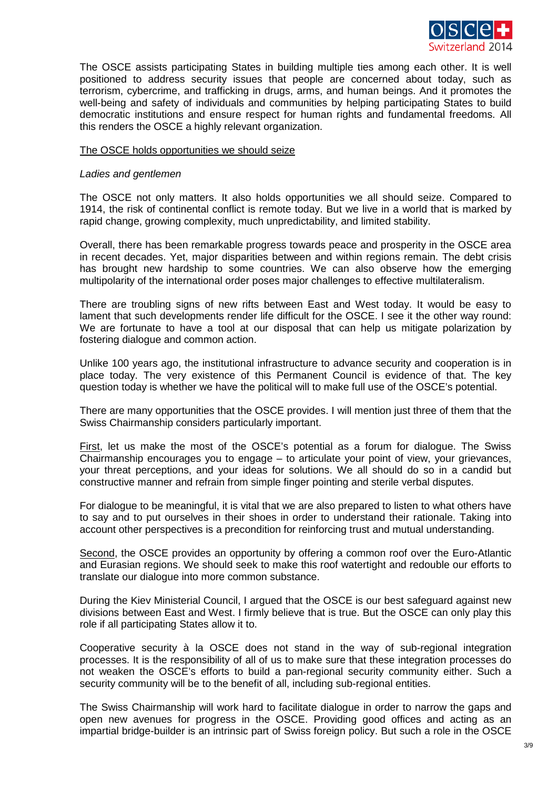

The OSCE assists participating States in building multiple ties among each other. It is well positioned to address security issues that people are concerned about today, such as terrorism, cybercrime, and trafficking in drugs, arms, and human beings. And it promotes the well-being and safety of individuals and communities by helping participating States to build democratic institutions and ensure respect for human rights and fundamental freedoms. All this renders the OSCE a highly relevant organization.

## The OSCE holds opportunities we should seize

## *Ladies and gentlemen*

The OSCE not only matters. It also holds opportunities we all should seize. Compared to 1914, the risk of continental conflict is remote today. But we live in a world that is marked by rapid change, growing complexity, much unpredictability, and limited stability.

Overall, there has been remarkable progress towards peace and prosperity in the OSCE area in recent decades. Yet, major disparities between and within regions remain. The debt crisis has brought new hardship to some countries. We can also observe how the emerging multipolarity of the international order poses major challenges to effective multilateralism.

There are troubling signs of new rifts between East and West today. It would be easy to lament that such developments render life difficult for the OSCE. I see it the other way round: We are fortunate to have a tool at our disposal that can help us mitigate polarization by fostering dialogue and common action.

Unlike 100 years ago, the institutional infrastructure to advance security and cooperation is in place today. The very existence of this Permanent Council is evidence of that. The key question today is whether we have the political will to make full use of the OSCE's potential.

There are many opportunities that the OSCE provides. I will mention just three of them that the Swiss Chairmanship considers particularly important.

First, let us make the most of the OSCE's potential as a forum for dialogue. The Swiss Chairmanship encourages you to engage – to articulate your point of view, your grievances, your threat perceptions, and your ideas for solutions. We all should do so in a candid but constructive manner and refrain from simple finger pointing and sterile verbal disputes.

For dialogue to be meaningful, it is vital that we are also prepared to listen to what others have to say and to put ourselves in their shoes in order to understand their rationale. Taking into account other perspectives is a precondition for reinforcing trust and mutual understanding.

Second, the OSCE provides an opportunity by offering a common roof over the Euro-Atlantic and Eurasian regions. We should seek to make this roof watertight and redouble our efforts to translate our dialogue into more common substance.

During the Kiev Ministerial Council, I argued that the OSCE is our best safeguard against new divisions between East and West. I firmly believe that is true. But the OSCE can only play this role if all participating States allow it to.

Cooperative security à la OSCE does not stand in the way of sub-regional integration processes. It is the responsibility of all of us to make sure that these integration processes do not weaken the OSCE's efforts to build a pan-regional security community either. Such a security community will be to the benefit of all, including sub-regional entities.

The Swiss Chairmanship will work hard to facilitate dialogue in order to narrow the gaps and open new avenues for progress in the OSCE. Providing good offices and acting as an impartial bridge-builder is an intrinsic part of Swiss foreign policy. But such a role in the OSCE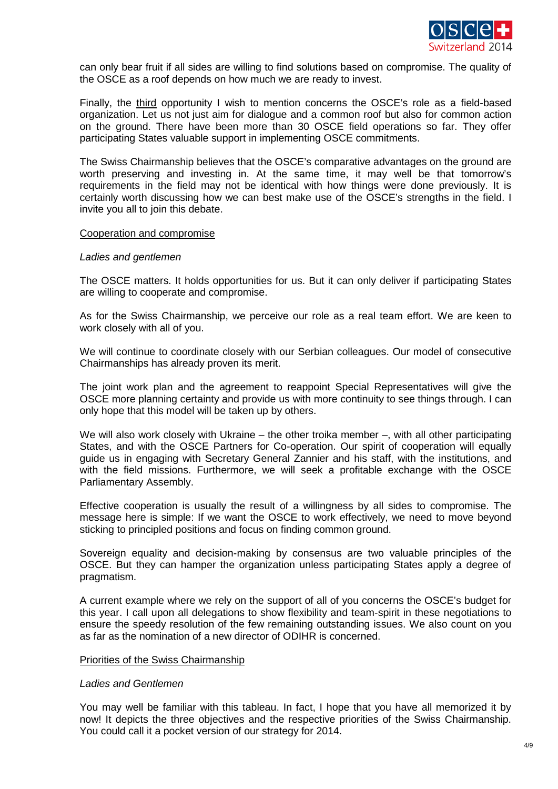

can only bear fruit if all sides are willing to find solutions based on compromise. The quality of the OSCE as a roof depends on how much we are ready to invest.

Finally, the third opportunity I wish to mention concerns the OSCE's role as a field-based organization. Let us not just aim for dialogue and a common roof but also for common action on the ground. There have been more than 30 OSCE field operations so far. They offer participating States valuable support in implementing OSCE commitments.

The Swiss Chairmanship believes that the OSCE's comparative advantages on the ground are worth preserving and investing in. At the same time, it may well be that tomorrow's requirements in the field may not be identical with how things were done previously. It is certainly worth discussing how we can best make use of the OSCE's strengths in the field. I invite you all to join this debate.

#### Cooperation and compromise

#### *Ladies and gentlemen*

The OSCE matters. It holds opportunities for us. But it can only deliver if participating States are willing to cooperate and compromise.

As for the Swiss Chairmanship, we perceive our role as a real team effort. We are keen to work closely with all of you.

We will continue to coordinate closely with our Serbian colleagues. Our model of consecutive Chairmanships has already proven its merit.

The joint work plan and the agreement to reappoint Special Representatives will give the OSCE more planning certainty and provide us with more continuity to see things through. I can only hope that this model will be taken up by others.

We will also work closely with Ukraine – the other troika member –, with all other participating States, and with the OSCE Partners for Co-operation. Our spirit of cooperation will equally guide us in engaging with Secretary General Zannier and his staff, with the institutions, and with the field missions. Furthermore, we will seek a profitable exchange with the OSCE Parliamentary Assembly.

Effective cooperation is usually the result of a willingness by all sides to compromise. The message here is simple: If we want the OSCE to work effectively, we need to move beyond sticking to principled positions and focus on finding common ground.

Sovereign equality and decision-making by consensus are two valuable principles of the OSCE. But they can hamper the organization unless participating States apply a degree of pragmatism.

A current example where we rely on the support of all of you concerns the OSCE's budget for this year. I call upon all delegations to show flexibility and team-spirit in these negotiations to ensure the speedy resolution of the few remaining outstanding issues. We also count on you as far as the nomination of a new director of ODIHR is concerned.

### Priorities of the Swiss Chairmanship

### *Ladies and Gentlemen*

You may well be familiar with this tableau. In fact, I hope that you have all memorized it by now! It depicts the three objectives and the respective priorities of the Swiss Chairmanship. You could call it a pocket version of our strategy for 2014.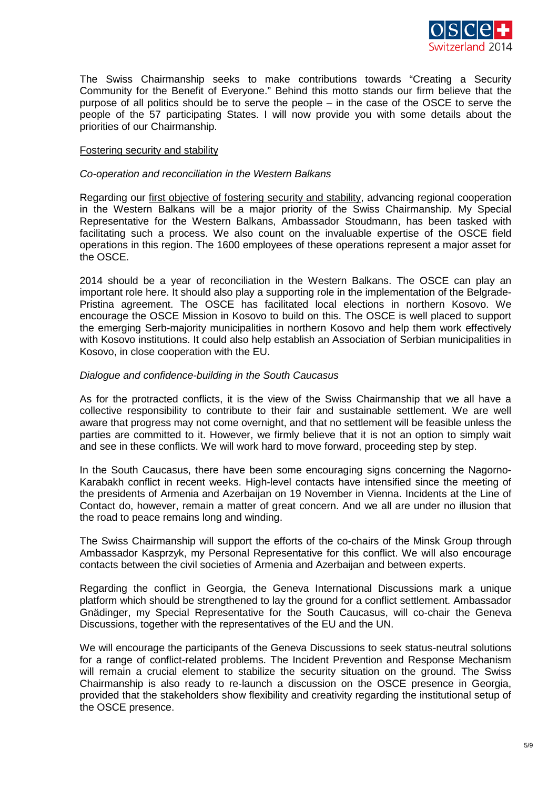

The Swiss Chairmanship seeks to make contributions towards "Creating a Security Community for the Benefit of Everyone." Behind this motto stands our firm believe that the purpose of all politics should be to serve the people – in the case of the OSCE to serve the people of the 57 participating States. I will now provide you with some details about the priorities of our Chairmanship.

## Fostering security and stability

### *Co-operation and reconciliation in the Western Balkans*

Regarding our first objective of fostering security and stability, advancing regional cooperation in the Western Balkans will be a major priority of the Swiss Chairmanship. My Special Representative for the Western Balkans, Ambassador Stoudmann, has been tasked with facilitating such a process. We also count on the invaluable expertise of the OSCE field operations in this region. The 1600 employees of these operations represent a major asset for the OSCE.

2014 should be a year of reconciliation in the Western Balkans. The OSCE can play an important role here. It should also play a supporting role in the implementation of the Belgrade-Pristina agreement. The OSCE has facilitated local elections in northern Kosovo. We encourage the OSCE Mission in Kosovo to build on this. The OSCE is well placed to support the emerging Serb-majority municipalities in northern Kosovo and help them work effectively with Kosovo institutions. It could also help establish an Association of Serbian municipalities in Kosovo, in close cooperation with the EU.

# *Dialogue and confidence-building in the South Caucasus*

As for the protracted conflicts, it is the view of the Swiss Chairmanship that we all have a collective responsibility to contribute to their fair and sustainable settlement. We are well aware that progress may not come overnight, and that no settlement will be feasible unless the parties are committed to it. However, we firmly believe that it is not an option to simply wait and see in these conflicts. We will work hard to move forward, proceeding step by step.

In the South Caucasus, there have been some encouraging signs concerning the Nagorno-Karabakh conflict in recent weeks. High-level contacts have intensified since the meeting of the presidents of Armenia and Azerbaijan on 19 November in Vienna. Incidents at the Line of Contact do, however, remain a matter of great concern. And we all are under no illusion that the road to peace remains long and winding.

The Swiss Chairmanship will support the efforts of the co-chairs of the Minsk Group through Ambassador Kasprzyk, my Personal Representative for this conflict. We will also encourage contacts between the civil societies of Armenia and Azerbaijan and between experts.

Regarding the conflict in Georgia, the Geneva International Discussions mark a unique platform which should be strengthened to lay the ground for a conflict settlement. Ambassador Gnädinger, my Special Representative for the South Caucasus, will co-chair the Geneva Discussions, together with the representatives of the EU and the UN.

We will encourage the participants of the Geneva Discussions to seek status-neutral solutions for a range of conflict-related problems. The Incident Prevention and Response Mechanism will remain a crucial element to stabilize the security situation on the ground. The Swiss Chairmanship is also ready to re-launch a discussion on the OSCE presence in Georgia, provided that the stakeholders show flexibility and creativity regarding the institutional setup of the OSCE presence.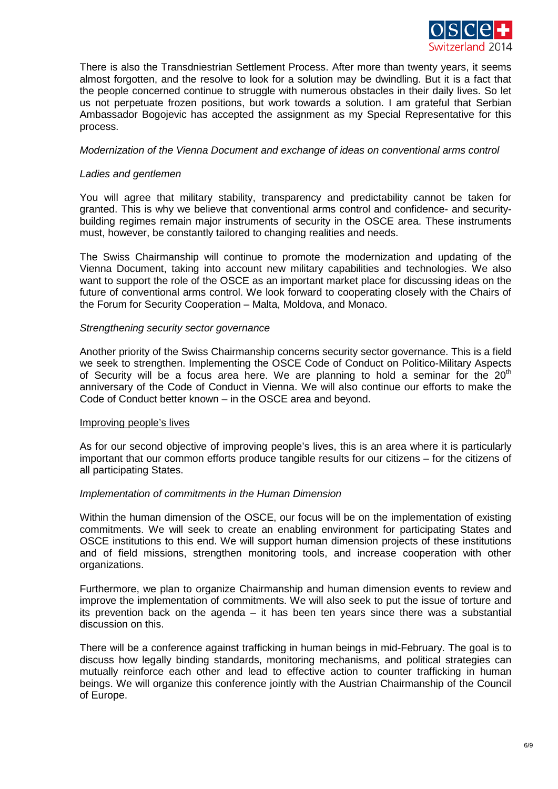

There is also the Transdniestrian Settlement Process. After more than twenty years, it seems almost forgotten, and the resolve to look for a solution may be dwindling. But it is a fact that the people concerned continue to struggle with numerous obstacles in their daily lives. So let us not perpetuate frozen positions, but work towards a solution. I am grateful that Serbian Ambassador Bogojevic has accepted the assignment as my Special Representative for this process.

# *Modernization of the Vienna Document and exchange of ideas on conventional arms control*

# *Ladies and gentlemen*

You will agree that military stability, transparency and predictability cannot be taken for granted. This is why we believe that conventional arms control and confidence- and securitybuilding regimes remain major instruments of security in the OSCE area. These instruments must, however, be constantly tailored to changing realities and needs.

The Swiss Chairmanship will continue to promote the modernization and updating of the Vienna Document, taking into account new military capabilities and technologies. We also want to support the role of the OSCE as an important market place for discussing ideas on the future of conventional arms control. We look forward to cooperating closely with the Chairs of the Forum for Security Cooperation – Malta, Moldova, and Monaco.

### *Strengthening security sector governance*

Another priority of the Swiss Chairmanship concerns security sector governance. This is a field we seek to strengthen. Implementing the OSCE Code of Conduct on Politico-Military Aspects of Security will be a focus area here. We are planning to hold a seminar for the  $20<sup>th</sup>$ anniversary of the Code of Conduct in Vienna. We will also continue our efforts to make the Code of Conduct better known – in the OSCE area and beyond.

### Improving people's lives

As for our second objective of improving people's lives, this is an area where it is particularly important that our common efforts produce tangible results for our citizens – for the citizens of all participating States.

### *Implementation of commitments in the Human Dimension*

Within the human dimension of the OSCE, our focus will be on the implementation of existing commitments. We will seek to create an enabling environment for participating States and OSCE institutions to this end. We will support human dimension projects of these institutions and of field missions, strengthen monitoring tools, and increase cooperation with other organizations.

Furthermore, we plan to organize Chairmanship and human dimension events to review and improve the implementation of commitments. We will also seek to put the issue of torture and its prevention back on the agenda – it has been ten years since there was a substantial discussion on this.

There will be a conference against trafficking in human beings in mid-February. The goal is to discuss how legally binding standards, monitoring mechanisms, and political strategies can mutually reinforce each other and lead to effective action to counter trafficking in human beings. We will organize this conference jointly with the Austrian Chairmanship of the Council of Europe.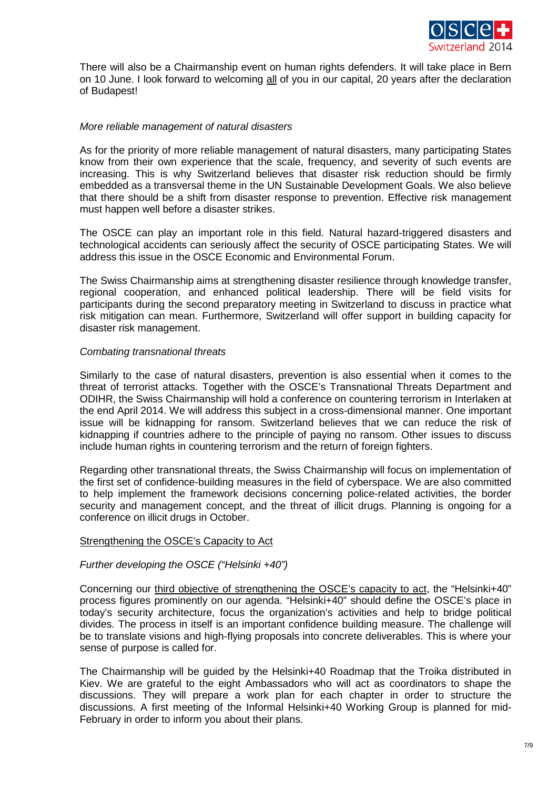

There will also be a Chairmanship event on human rights defenders. It will take place in Bern on 10 June. I look forward to welcoming all of you in our capital, 20 years after the declaration of Budapest!

# *More reliable management of natural disasters*

As for the priority of more reliable management of natural disasters, many participating States know from their own experience that the scale, frequency, and severity of such events are increasing. This is why Switzerland believes that disaster risk reduction should be firmly embedded as a transversal theme in the UN Sustainable Development Goals. We also believe that there should be a shift from disaster response to prevention. Effective risk management must happen well before a disaster strikes.

The OSCE can play an important role in this field. Natural hazard-triggered disasters and technological accidents can seriously affect the security of OSCE participating States. We will address this issue in the OSCE Economic and Environmental Forum.

The Swiss Chairmanship aims at strengthening disaster resilience through knowledge transfer, regional cooperation, and enhanced political leadership. There will be field visits for participants during the second preparatory meeting in Switzerland to discuss in practice what risk mitigation can mean. Furthermore, Switzerland will offer support in building capacity for disaster risk management.

# *Combating transnational threats*

Similarly to the case of natural disasters, prevention is also essential when it comes to the threat of terrorist attacks. Together with the OSCE's Transnational Threats Department and ODIHR, the Swiss Chairmanship will hold a conference on countering terrorism in Interlaken at the end April 2014. We will address this subject in a cross-dimensional manner. One important issue will be kidnapping for ransom. Switzerland believes that we can reduce the risk of kidnapping if countries adhere to the principle of paying no ransom. Other issues to discuss include human rights in countering terrorism and the return of foreign fighters.

Regarding other transnational threats, the Swiss Chairmanship will focus on implementation of the first set of confidence-building measures in the field of cyberspace. We are also committed to help implement the framework decisions concerning police-related activities, the border security and management concept, and the threat of illicit drugs. Planning is ongoing for a conference on illicit drugs in October.

# Strengthening the OSCE's Capacity to Act

### *Further developing the OSCE ("Helsinki +40")*

Concerning our third objective of strengthening the OSCE's capacity to act, the "Helsinki+40" process figures prominently on our agenda. "Helsinki+40" should define the OSCE's place in today's security architecture, focus the organization's activities and help to bridge political divides. The process in itself is an important confidence building measure. The challenge will be to translate visions and high-flying proposals into concrete deliverables. This is where your sense of purpose is called for.

The Chairmanship will be guided by the Helsinki+40 Roadmap that the Troika distributed in Kiev. We are grateful to the eight Ambassadors who will act as coordinators to shape the discussions. They will prepare a work plan for each chapter in order to structure the discussions. A first meeting of the Informal Helsinki+40 Working Group is planned for mid-February in order to inform you about their plans.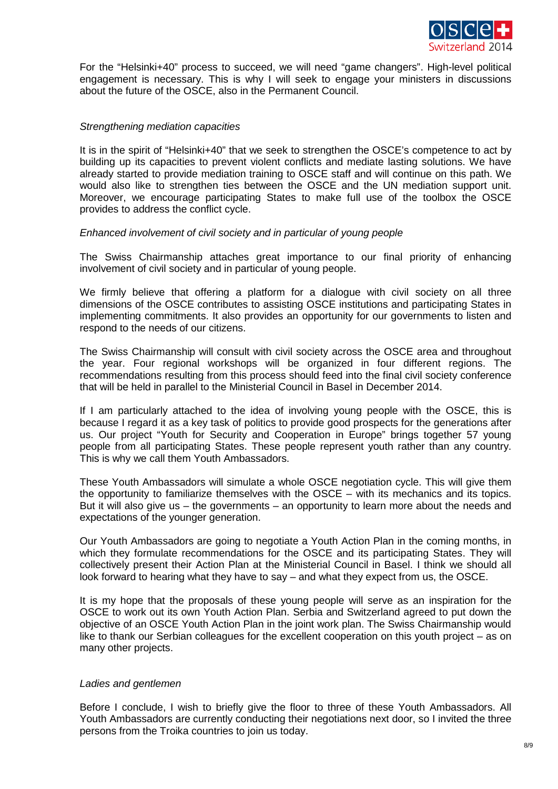

For the "Helsinki+40" process to succeed, we will need "game changers". High-level political engagement is necessary. This is why I will seek to engage your ministers in discussions about the future of the OSCE, also in the Permanent Council.

## *Strengthening mediation capacities*

It is in the spirit of "Helsinki+40" that we seek to strengthen the OSCE's competence to act by building up its capacities to prevent violent conflicts and mediate lasting solutions. We have already started to provide mediation training to OSCE staff and will continue on this path. We would also like to strengthen ties between the OSCE and the UN mediation support unit. Moreover, we encourage participating States to make full use of the toolbox the OSCE provides to address the conflict cycle.

### *Enhanced involvement of civil society and in particular of young people*

The Swiss Chairmanship attaches great importance to our final priority of enhancing involvement of civil society and in particular of young people.

We firmly believe that offering a platform for a dialogue with civil society on all three dimensions of the OSCE contributes to assisting OSCE institutions and participating States in implementing commitments. It also provides an opportunity for our governments to listen and respond to the needs of our citizens.

The Swiss Chairmanship will consult with civil society across the OSCE area and throughout the year. Four regional workshops will be organized in four different regions. The recommendations resulting from this process should feed into the final civil society conference that will be held in parallel to the Ministerial Council in Basel in December 2014.

If I am particularly attached to the idea of involving young people with the OSCE, this is because I regard it as a key task of politics to provide good prospects for the generations after us. Our project "Youth for Security and Cooperation in Europe" brings together 57 young people from all participating States. These people represent youth rather than any country. This is why we call them Youth Ambassadors.

These Youth Ambassadors will simulate a whole OSCE negotiation cycle. This will give them the opportunity to familiarize themselves with the OSCE – with its mechanics and its topics. But it will also give us – the governments – an opportunity to learn more about the needs and expectations of the younger generation.

Our Youth Ambassadors are going to negotiate a Youth Action Plan in the coming months, in which they formulate recommendations for the OSCE and its participating States. They will collectively present their Action Plan at the Ministerial Council in Basel. I think we should all look forward to hearing what they have to say – and what they expect from us, the OSCE.

It is my hope that the proposals of these young people will serve as an inspiration for the OSCE to work out its own Youth Action Plan. Serbia and Switzerland agreed to put down the objective of an OSCE Youth Action Plan in the joint work plan. The Swiss Chairmanship would like to thank our Serbian colleagues for the excellent cooperation on this youth project – as on many other projects.

### *Ladies and gentlemen*

Before I conclude, I wish to briefly give the floor to three of these Youth Ambassadors. All Youth Ambassadors are currently conducting their negotiations next door, so I invited the three persons from the Troika countries to join us today.